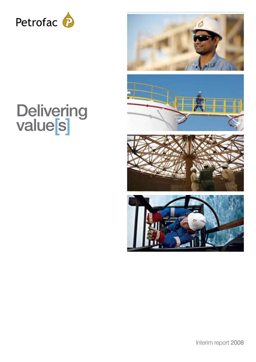





# **Delivering** value[s]



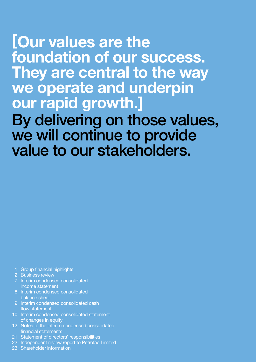# [Our values are the foundation of our success. They are central to the way we operate and underpin our rapid growth.] By delivering on those values, we will continue to provide value to our stakeholders.

- 1 Group financial highlights
- 2 Business review
- 7 Interim condensed consolidated income statement
- 8 Interim condensed consolidated balance sheet
- 9 Interim condensed consolidated cash flow statement
- of changes in equity
- 12 Notes to the interim condensed consolidated financial statements
- 21 Statement of directors' responsibilities
- 22 Independent review report to Petrofac Limited
- 23 Shareholder information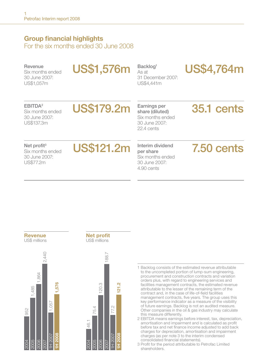## Group financial highlights

For the six months ended 30 June 2008

Revenue Six months ended 30 June 2007: US\$1,057m

**US\$1,576m** Backlog<sup>1</sup>

As at 31 December 2007: US\$4,441m

US\$4,764m

#### EBITDA2

Six months ended 30 June 2007: US\$137.3m

## US\$179.2m Earnings per

share (diluted) Six months ended 30 June 2007: 22.4 cents

## 35.1 cents

#### Net profit<sup>3</sup>

Six months ended 30 June 2007: US\$77.2m



per share Six months ended 30 June 2007: 4.90 cents

## 7.50 cents





1 Backlog consists of the estimated revenue attributable to the uncompleted portion of lump-sum engineering, procurement and construction contracts and variation orders plus, with regard to engineering services and facilities management contracts, the estimated revenue attributable to the lesser of the remaining term of the contract and, in the case of life-of-field facilities management contracts, five years. The group uses this key performance indicator as a measure of the visibility of future earnings. Backlog is not an audited measure. Other companies in the oil & gas industry may calculate this measure differently.

2 EBITDA means earnings before interest, tax, depreciation, amortisation and impairment and is calculated as profit before tax and net finance income adjusted to add back charges for depreciation, amortisation and impairment charges (as per note 3 to the interim condensed consolidated financial statements).

3 Profit for the period attributable to Petrofac Limited shareholders.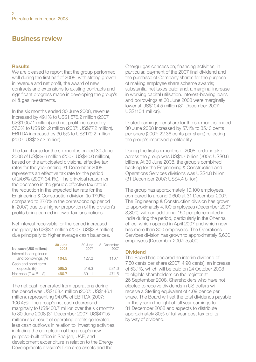## Business review

#### Results

We are pleased to report that the group performed well during the first half of 2008, with strong growth in revenue and net profit, the award of new contracts and extensions to existing contracts and significant progress made in developing the group's oil & gas investments.

In the six months ended 30 June 2008, revenue increased by 49.1% to US\$1,576.2 million (2007: US\$1,057.1 million) and net profit increased by 57.0% to US\$121.2 million (2007: US\$77.2 million). EBITDA increased by 30.6% to US\$179.2 million (2007: US\$137.3 million).

The tax charge for the six months ended 30 June 2008 of US\$39.6 million (2007: US\$40.0 million), based on the anticipated divisional effective tax rates for the year ending 31 December 2008, represents an effective tax rate for the period of 24.6% (2007: 34.1%). The principal reason for the decrease in the group's effective tax rate is the reduction in the expected tax rate for the Engineering & Construction division (to 17.9%; compared to 27.0% in the corresponding period in 2007) due to a higher proportion of the division's profits being earned in lower tax jurisdictions.

Net interest receivable for the period increased marginally to US\$3.1 million (2007: US\$2.8 million) due principally to higher average cash balances.

| Net cash (US\$ millions)                     | 30 June<br>2008 | 30 June<br>2007 | 31 December<br>2007 |
|----------------------------------------------|-----------------|-----------------|---------------------|
| Interest-bearing loans<br>and borrowings (A) | 104.5           | 127.2           | 110.1               |
| Cash and short-term<br>deposits (B)          | 565.2           | 518.3           | 581.6               |
| Net cash $(C = B - A)$                       | 460.7           | 391.1           | 471.5               |

The net cash generated from operations during the period was US\$168.4 million (2007: US\$146.1 million), representing 94.0% of EBITDA (2007: 106.4%). The group's net cash decreased marginally to US\$460.7 million over the six months to 30 June 2008 (31 December 2007: US\$471.5 million) as a result of operating profits generated, less cash outflows in relation to: investing activities, including the completion of the group's new purpose-built office in Sharjah, UAE, and development expenditure in relation to the Energy Developments division's Don area assets and the

Chergui gas concession; financing activities, in particular, payment of the 2007 final dividend and the purchase of Company shares for the purpose of making employee share scheme awards; substantial net taxes paid; and, a marginal increase in working capital utilisation. Interest-bearing loans and borrowings at 30 June 2008 were marginally lower at US\$104.5 million (31 December 2007: US\$110.1 million).

Diluted earnings per share for the six months ended 30 June 2008 increased by 57.1% to 35.13 cents per share (2007: 22.36 cents per share) reflecting the group's improved profitability.

During the first six months of 2008, order intake across the group was US\$1.7 billion (2007: US\$0.6 billion). At 30 June 2008, the group's combined backlog for the Engineering & Construction and Operations Services divisions was US\$4.8 billion (31 December 2007: US\$4.4 billion).

The group has approximately 10,100 employees, compared to around 9,600 at 31 December 2007. The Engineering & Construction division has grown to approximately 4,100 employees (December 2007: 3,800), with an additional 150 people recruited in India during the period, particularly in the Chennai office, which opened in April 2007 and which now has more than 300 employees. The Operations Services division has grown to approximately 5,600 employees (December 2007: 5,500).

#### Dividend

The Board has declared an interim dividend of 7.50 cents per share (2007: 4.90 cents), an increase of 53.1%, which will be paid on 24 October 2008 to eligible shareholders on the register at 26 September 2008. Shareholders who have not elected to receive dividends in US dollars will receive a Sterling equivalent of 4.09 pence per share. The Board will set the total dividends payable for the year in the light of full year earnings to 31 December 2008 and expects to distribute approximately 30% of full year post tax profits by way of dividend.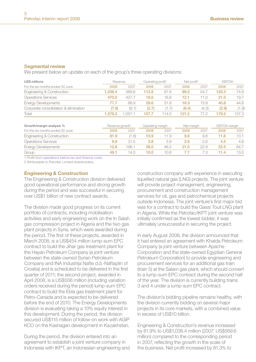#### Segmental review

We present below an update on each of the group's three operating divisions:

| US\$ millions                         | Revenue |        | Operating profit <sup>1</sup> |       | Net profit <sup>2</sup> |       | <b>EBITDA</b> |       |
|---------------------------------------|---------|--------|-------------------------------|-------|-------------------------|-------|---------------|-------|
| For the six months ended 30 June      | 2008    | 2007   | 2008                          | 2007  | 2008                    | 2007  | 2008          | 2007  |
| Engineering & Construction            | 1.036.4 | 569.6  | 112.8                         | 67.6  | 99.2                    | 54.7  | 120.3         | 74.9  |
| <b>Operations Services</b>            | 470.0   | 427.7  | 18.0                          | 16.8  | 12.1                    | i 1.0 | 21.0          | 19.7  |
| <b>Energy Developments</b>            | 77.7    | 68.9   | 29.6                          | 31.8  | 16.3                    | 15.8  | 40.8          | 44.6  |
| Corporate consolidation & elimination | (7.9)   | (9.1)  | (2.7)                         | 1.7)  | (6.4)                   | (4.3) | (2.9)         | (1.9) |
| Total                                 | 1.576.2 | .057.1 | 157.7                         | 114.5 | 121.2                   |       | 179.2         | 137.3 |

| Growth/margin analysis %         |      | Revenue growth |      | Operating margin |      | Net margin |       | EBITDA margin |  |
|----------------------------------|------|----------------|------|------------------|------|------------|-------|---------------|--|
| For the six months ended 30 June | 2008 | 2007           | 2008 | 2007             | 2008 | 2007       | 2008  | 2007          |  |
| Engineering & Construction       | 81.9 | 1.6)           | 10.9 |                  | 9.6  | 9.6        | 11.6  | 13.1          |  |
| <b>Operations Services</b>       | 9.9  | 31.5           | 3.8  | 3.9              | 2.6  | 26         | 4.5   | 4.6           |  |
| <b>Energy Developments</b>       | 12.8 | 198.1          | 38.0 | 46.2             | 21.O | 22.9       | 52.5  | 64.7          |  |
| Group                            | 49.1 | 14.0           | 10.0 | 10.8             |      |            | l 1.4 | 13.0          |  |

1 Profit from operations before tax and finance costs.

2 Attributable to Petrofac Limited shareholders.

#### Engineering & Construction

The Engineering & Construction division delivered good operational performance and strong growth during the period and was successful in securing over US\$1 billion of new contract awards.

The division made good progress on its current portfolio of contracts, including mobilisation activities and early engineering work on the In Salah gas compression project in Algeria and the two gas plant projects in Syria, which were awarded during the period. The first of these projects, awarded in March 2008, is a US\$454 million lump-sum EPC contract to build the Jihar gas treatment plant for the Hayan Petroleum Company (a joint venture between the state-owned Syrian Petroleum Company and INA Industrija Nafte d.d.-Naftaplin of Croatia) and is scheduled to be delivered in the first quarter of 2011; the second project, awarded in April 2008, is a US\$556 million (including variation orders received during the period) lump-sum EPC contract to build the Ebla gas treatment plant for Petro-Canada and is expected to be delivered before the end of 2010. The Energy Developments division is evaluating taking a 10% equity interest in this development. During the period, the division secured US\$115 million of follow-on work with AGIP KCO on the Kashagan development in Kazakhstan.

During the period, the division entered into an agreement to establish a joint venture company in Indonesia with IKPT, an Indonesian engineering and construction company with experience in executing liquefied natural gas (LNG) projects. The joint venture will provide project management, engineering, procurement and construction management services for oil, gas and petrochemical projects outside Indonesia. The joint venture's first major bid was for a contract to build the Gassi Touil LNG plant in Algeria. While the Petrofac/IKPT joint venture was initially confirmed as the lowest bidder, it was ultimately unsuccessful in securing the project.

In early August 2008, the division announced that it had entered an agreement with Khalda Petroleum Company (a joint venture between Apache Corporation and the state-owned Egyptian General Petroleum Corporation) to provide engineering and procurement services for an additional gas train (train 5) at the Salam gas plant, which should convert to a lump-sum EPC contract during the second half of the year. The division is currently building trains 3 and 4 under a lump-sum EPC contract.

The division's bidding pipeline remains healthy, with the division currently bidding on several major projects in its core markets, with a combined value in excess of US\$10 billion.

Engineering & Construction's revenue increased by 81.9% to US\$1,036.4 million (2007: US\$569.6 million) compared to the corresponding period in 2007, reflecting the growth in the scale of the business. Net profit increased by 81.3% to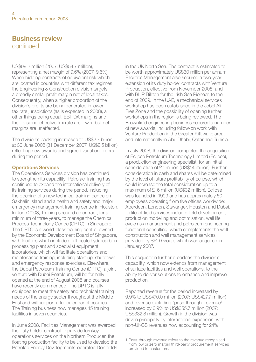## Business review continued

US\$99.2 million (2007: US\$54.7 million),

representing a net margin of 9.6% (2007: 9.6%). When bidding contracts of equivalent risk which are located in countries with different tax regimes the Engineering & Construction division targets a broadly similar profit margin net of local taxes. Consequently, when a higher proportion of the division's profits are being generated in lower tax rate jurisdictions (as is expected in 2008), all other things being equal, EBITDA margins and the divisional effective tax rate are lower, but net margins are unaffected.

The division's backlog increased to US\$2.7 billion at 30 June 2008 (31 December 2007: US\$2.5 billion) reflecting new awards and agreed variation orders during the period.

#### Operations Services

The Operations Services division has continued to strengthen its capability. Petrofac Training has continued to expand the international delivery of its training services during the period, including the opening of a new technical training centre on Sakhalin Island and a health and safety and major emergency management training centre in Houston. In June 2008, Training secured a contract, for a minimum of three years, to manage the Chemical Process Technology Centre (CPTC) in Singapore. The CPTC is a world-class training centre, owned by the Economic Development Board of Singapore, with facilities which include a full-scale hydrocarbon processing plant and specialist equipment laboratories, which will facilitate operations and maintenance training, including start-up, shutdown and emergency response exercises. Elsewhere, the Dubai Petroleum Training Centre (DPTC), a joint venture with Dubai Petroleum, will be formally opened at the end of August 2008 and courses have recently commenced. The DPTC is fully equipped to meet the safety and technical training needs of the energy sector throughout the Middle East and will support a full calendar of courses. The Training business now manages 15 training facilities in seven countries.

In June 2008, Facilities Management was awarded the duty holder contract to provide turnkey operations services on the Northern Producer, the floating production facility to be used to develop the Petrofac Energy Developments-operated Don fields in the UK North Sea. The contract is estimated to be worth approximately US\$30 million per annum. Facilities Management also secured a two-year extension of its duty holder contracts with Venture Production, effective from November 2008, and with BHP Billiton for the Irish Sea Pioneer, to the end of 2009. In the UAE, a mechanical services workshop has been established in the Jebel Ali Free Zone and the possibility of opening further workshops in the region is being reviewed. The Brownfield engineering business secured a number of new awards, including follow-on work with Venture Production in the Greater Kittiwake area, and internationally in Abu Dhabi, Qatar and Tunisia.

In July 2008, the division completed the acquisition of Eclipse Petroleum Technology Limited (Eclipse), a production engineering specialist, for an initial consideration of £7 million (US\$14 million). Further consideration in cash and shares will be determined by the level of future profitability of Eclipse, which could increase the total consideration up to a maximum of £16 million (US\$32 million). Eclipse was founded in 1999 and has approximately 50 employees operating from five offices worldwide: Aberdeen, London, Stavanger, Houston and Dubai. Its life-of-field services include: field development, production modelling and optimisation, well life cycle risk management and petroleum engineering functional consulting, which complements the well construction and well management services provided by SPD Group, which was acquired in January 2007.

This acquisition further broadens the division's capability, which now extends from management of surface facilities and well operations, to the ability to deliver solutions to enhance and improve production.

Reported revenue for the period increased by 9.9% to US\$470.0 million (2007: US\$427.7 million) and revenue excluding "pass-through" revenue<sup>1</sup> increased by 6.9% to US\$355.7 million (2007: US\$332.8 million). Growth in the division was driven principally by international expansion, with non-UKCS revenues now accounting for 24%

<sup>1</sup> Pass-through revenue refers to the revenue recognised from low or zero margin third-party procurement services provided to customers.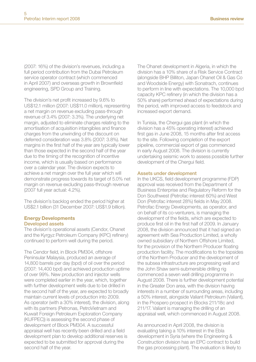(2007: 16%) of the division's revenues, including a full period contribution from the Dubai Petroleum service operator contract (which commenced in April 2007) and overseas growth in Brownfield engineering, SPD Group and Training.

The division's net profit increased by 9.6% to US\$12.1 million (2007: US\$11.0 million), representing a net margin on revenue excluding pass-through revenue of 3.4% (2007: 3.3%). The underlying net margin, adjusted to eliminate charges relating to the amortisation of acquisition intangibles and finance charges from the unwinding of the discount on deferred consideration was 3.8% (2007: 3.8%). Net margins in the first half of the year are typically lower than those expected in the second half of the year due to the timing of the recognition of incentive income, which is usually based on performance over a calendar year. The division expects to achieve a net margin over the full year which will demonstrate progress towards its target of 5.0% net margin on revenue excluding pass-through revenue (2007 full year actual: 4.2%).

The division's backlog ended the period higher at US\$2.1 billion (31 December 2007: US\$1.9 billion).

#### Energy Developments Developed assets

The division's operational assets (Cendor, Ohanet and the Kyrgyz Petroleum Company (KPC) refinery) continued to perform well during the period.

The Cendor field, in Block PM304, offshore Peninsular Malaysia, produced an average of 14,800 barrels per day (bpd) of oil over the period (2007: 14,400 bpd) and achieved production uptime of over 99%. New production and injector wells were completed earlier in the year, which, together with further development wells due to be drilled in the second half of the year, are expected to broadly maintain current levels of production into 2009. As operator (with a 30% interest), the division, along with its partners (Petronas, PetroVietnam and Kuwait Foreign Petroleum Exploration Company (KUFPEC)) is assessing the second phase of development of Block PM304. A successful appraisal well has recently been drilled and a field development plan to develop additional reserves is expected to be submitted for approval during the second half of the year.

The Ohanet development in Algeria, in which the division has a 10% share of a Risk Service Contract (alongside BHP Billiton, Japan Ohanet Oil & Gas Co and Woodside Energy) with Sonatrach, continues to perform in line with expectations. The 10,000 bpd capacity KPC refinery (in which the division has a 50% share) performed ahead of expectations during the period, with improved access to feedstock and increased export demand.

In Tunisia, the Chergui gas plant (in which the division has a 45% operating interest) achieved first gas in June 2008, 15 months after first access to the site. Following completion of the export pipeline, commercial export of gas commenced in early August 2008. The division is currently undertaking seismic work to assess possible further development of the Chergui field.

#### Assets under development

In the UKCS, field development programme (FDP) approval was received from the Department of Business Enterprise and Regulatory Reform for the Don Southwest (Petrofac interest 60%) and West Don (Petrofac interest 28%) fields in May 2008. Petrofac Energy Developments, as operator, and on behalf of its co-venturers, is managing the development of the fields, which are expected to produce first oil in the first half of 2009. In January 2008, the division announced that it had signed an agreement with Sea Production Limited, a wholly owned subsidiary of Northern Offshore Limited, for the provision of the Northern Producer floating production facility. The modifications to the topsides of the Northern Producer and the development of the subsea infrastructure are progressing well and the John Shaw semi-submersible drilling rig commenced a seven well drilling programme in August 2008. There is further development potential in the Greater Don area, with the division having interests in a number of surrounding areas, including a 50% interest, alongside Valiant Petroleum (Valiant), in the Prospero prospect in Blocks 211/18c and 211/17. Valiant is managing the drilling of an appraisal well, which commenced in August 2008.

As announced in April 2008, the division is evaluating taking a 10% interest in the Ebla development in Syria (where the Engineering & Construction division has an EPC contract to build the gas processing plant). The evaluation is likely to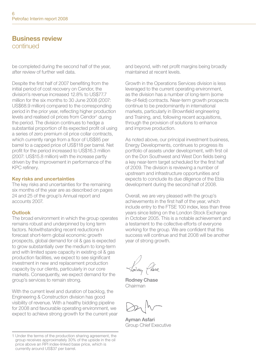### Business review continued

be completed during the second half of the year, after review of further well data.

Despite the first half of 2007 benefiting from the initial period of cost recovery on Cendor, the division's revenue increased 12.8% to US\$77.7 million for the six months to 30, June 2008 (2007) US\$68.9 million) compared to the corresponding period in the prior year, reflecting higher production levels and realised oil prices from Cendor<sup>1</sup> during the period. The division continues to hedge a substantial proportion of its expected profit oil using a series of zero premium oil price collar contracts, which currently range from a floor of US\$85 per barrel to a capped price of US\$118 per barrel. Net profit for the period increased to US\$16.3 million (2007: US\$15.8 million) with the increase partly driven by the improvement in performance of the KPC refinery.

#### Key risks and uncertainties

The key risks and uncertainties for the remaining six months of the year are as described on pages 24 and 25 of the group's Annual report and accounts 2007.

#### Outlook

The broad environment in which the group operates remains robust and underpinned by long term factors. Notwithstanding recent reductions in forecast short-term global economic growth prospects, global demand for oil & gas is expected to grow substantially over the medium to long-term and with limited spare capacity in existing oil & gas production facilities, we expect to see significant investment in new and replacement production capacity by our clients, particularly in our core markets. Consequently, we expect demand for the group's services to remain strong.

With the current level and duration of backlog, the Engineering & Construction division has good visibility of revenue. With a healthy bidding pipeline for 2008 and favourable operating environment, we expect to achieve strong growth for the current year and beyond, with net profit margins being broadly maintained at recent levels.

Growth in the Operations Services division is less leveraged to the current operating environment, as the division has a number of long-term (some life-of-field) contracts. Near-term growth prospects continue to be predominantly in international markets, particularly in Brownfield engineering and Training, and, following recent acquisitions, through the provision of solutions to enhance and improve production.

As noted above, our principal investment business, Energy Developments, continues to progress its portfolio of assets under development, with first oil on the Don Southwest and West Don fields being a key near-term target scheduled for the first half of 2009. The division is reviewing a number of upstream and infrastructure opportunities and expects to conclude its due diligence of the Ebla development during the second half of 2008.

Overall, we are very pleased with the group's achievements in the first half of the year, which include entry to the FTSE 100 index, less than three years since listing on the London Stock Exchange in October 2005. This is a notable achievement and a testament to the collective efforts of everyone working for the group. We are confident that this success will continue and that 2008 will be another year of strong growth.

Rodney Chase Chairman

Ayman Asfari Group Chief Executive

<sup>1</sup> Under the terms of the production sharing agreement, the group receives approximately 30% of the upside in the oil produce above an RPI index-linked base price, which is currently around US\$37 per barrel.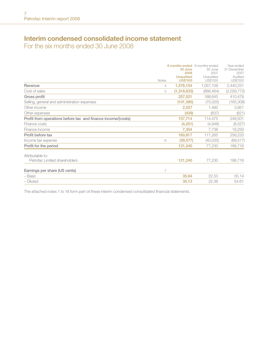## Interim condensed consolidated income statement

For the six months ended 30 June 2008

| <b>Unaudited</b><br>Unaudited<br>Audited<br><b>US\$'000</b><br>US\$'000<br>Notes<br>1,576,154<br>1,057,109<br>2,440,251<br>Revenue<br>4<br>(1,318,633)<br>Cost of sales<br>(868, 464)<br>5<br>Gross profit<br>257,521<br>188,645<br>Selling, general and administration expenses<br>(101, 395)<br>(75, 025)<br>Other income<br>2,027<br>1,492<br>3,951<br>(439)<br>(637)<br>Other expenses<br>Profit from operations before tax and finance income/(costs)<br>157,714<br>114,475<br>248,501<br>Finance costs<br>(4,251)<br>(4,948)<br>Finance income<br>7,354<br>7,738<br>Profit before tax<br>160,817<br>117,265<br>(39, 577)<br>(40,035)<br>Income tax expense<br>6<br>Profit for the period<br>121,240<br>77,230<br>Attributable to:<br>Petrofac Limited shareholders<br>121,240<br>77,230<br>Earnings per share (US cents)<br>7<br>35.64<br>22.53<br>- Basic<br>- Diluted<br>35.13<br>22.36<br>54.61 |  | 6 months ended 6 months ended<br>30 June<br>2008 | 30 June<br>2007 | Year ended<br>31 December<br>2007 |
|----------------------------------------------------------------------------------------------------------------------------------------------------------------------------------------------------------------------------------------------------------------------------------------------------------------------------------------------------------------------------------------------------------------------------------------------------------------------------------------------------------------------------------------------------------------------------------------------------------------------------------------------------------------------------------------------------------------------------------------------------------------------------------------------------------------------------------------------------------------------------------------------------------|--|--------------------------------------------------|-----------------|-----------------------------------|
|                                                                                                                                                                                                                                                                                                                                                                                                                                                                                                                                                                                                                                                                                                                                                                                                                                                                                                          |  |                                                  |                 | US\$'000                          |
|                                                                                                                                                                                                                                                                                                                                                                                                                                                                                                                                                                                                                                                                                                                                                                                                                                                                                                          |  |                                                  |                 |                                   |
|                                                                                                                                                                                                                                                                                                                                                                                                                                                                                                                                                                                                                                                                                                                                                                                                                                                                                                          |  |                                                  |                 | (2,029,772)                       |
|                                                                                                                                                                                                                                                                                                                                                                                                                                                                                                                                                                                                                                                                                                                                                                                                                                                                                                          |  |                                                  |                 | 410,479                           |
|                                                                                                                                                                                                                                                                                                                                                                                                                                                                                                                                                                                                                                                                                                                                                                                                                                                                                                          |  |                                                  |                 | (165, 308)                        |
|                                                                                                                                                                                                                                                                                                                                                                                                                                                                                                                                                                                                                                                                                                                                                                                                                                                                                                          |  |                                                  |                 |                                   |
|                                                                                                                                                                                                                                                                                                                                                                                                                                                                                                                                                                                                                                                                                                                                                                                                                                                                                                          |  |                                                  |                 | (621)                             |
|                                                                                                                                                                                                                                                                                                                                                                                                                                                                                                                                                                                                                                                                                                                                                                                                                                                                                                          |  |                                                  |                 |                                   |
|                                                                                                                                                                                                                                                                                                                                                                                                                                                                                                                                                                                                                                                                                                                                                                                                                                                                                                          |  |                                                  |                 | (8,527)                           |
|                                                                                                                                                                                                                                                                                                                                                                                                                                                                                                                                                                                                                                                                                                                                                                                                                                                                                                          |  |                                                  |                 | 18,259                            |
|                                                                                                                                                                                                                                                                                                                                                                                                                                                                                                                                                                                                                                                                                                                                                                                                                                                                                                          |  |                                                  |                 | 258,233                           |
|                                                                                                                                                                                                                                                                                                                                                                                                                                                                                                                                                                                                                                                                                                                                                                                                                                                                                                          |  |                                                  |                 | (69, 517)                         |
|                                                                                                                                                                                                                                                                                                                                                                                                                                                                                                                                                                                                                                                                                                                                                                                                                                                                                                          |  |                                                  |                 | 188,716                           |
|                                                                                                                                                                                                                                                                                                                                                                                                                                                                                                                                                                                                                                                                                                                                                                                                                                                                                                          |  |                                                  |                 |                                   |
|                                                                                                                                                                                                                                                                                                                                                                                                                                                                                                                                                                                                                                                                                                                                                                                                                                                                                                          |  |                                                  |                 | 188,716                           |
|                                                                                                                                                                                                                                                                                                                                                                                                                                                                                                                                                                                                                                                                                                                                                                                                                                                                                                          |  |                                                  |                 |                                   |
|                                                                                                                                                                                                                                                                                                                                                                                                                                                                                                                                                                                                                                                                                                                                                                                                                                                                                                          |  |                                                  |                 | 55.14                             |
|                                                                                                                                                                                                                                                                                                                                                                                                                                                                                                                                                                                                                                                                                                                                                                                                                                                                                                          |  |                                                  |                 |                                   |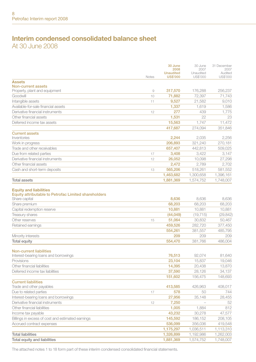### Interim condensed consolidated balance sheet At 30 June 2008

|                                                                                                        | <b>Notes</b> | 30 June<br>2008<br><b>Unaudited</b><br><b>US\$'000</b> | 30 June<br>2007<br>Unaudited<br>US\$'000 | 31 December<br>2007<br>Audited |
|--------------------------------------------------------------------------------------------------------|--------------|--------------------------------------------------------|------------------------------------------|--------------------------------|
| <b>Assets</b>                                                                                          |              |                                                        |                                          | US\$'000                       |
| Non-current assets                                                                                     |              |                                                        |                                          |                                |
| Property, plant and equipment                                                                          | 9            | 317,570                                                | 176,288                                  | 256,237                        |
| Goodwill                                                                                               | 10           | 71,882                                                 | 72,397                                   | 71,743                         |
| Intangible assets                                                                                      | 11           | 9.527                                                  | 21.582                                   | 9.010                          |
| Available-for-sale financial assets                                                                    |              | 1,337                                                  | 1,619                                    | 1,586                          |
| Derivative financial instruments                                                                       | 12           | 277                                                    | 439                                      | 1.775                          |
| Other financial assets                                                                                 |              | 1,531                                                  | 22                                       | 23                             |
| Deferred income tax assets                                                                             |              | 15,563                                                 | 1,747                                    | 11,472                         |
|                                                                                                        |              | 417,687                                                | 274.094                                  | 351.846                        |
| <b>Current assets</b><br>Inventories                                                                   |              | 2.244                                                  | 2,035                                    | 2.256                          |
| Work in progress                                                                                       |              | 206,893                                                | 321,240                                  | 270,181                        |
| Trade and other receivables                                                                            |              | 657,407                                                | 442,813                                  | 509,025                        |
| Due from related parties                                                                               | 17           | 3,408                                                  | 3,422                                    | 3,147                          |
| Derivative financial instruments                                                                       | 12           | 26,052                                                 | 10,098                                   | 27,298                         |
| Other financial assets                                                                                 |              | 2.472                                                  | 2,789                                    | 2.702                          |
| Cash and short-term deposits                                                                           | 13           | 565,206                                                | 518,261                                  | 581,552                        |
|                                                                                                        |              | 1,463,682                                              | 1,300,658                                | 1,396,161                      |
| <b>Total assets</b>                                                                                    |              | 1,881,369                                              | 1,574,752                                | 1,748,007                      |
|                                                                                                        |              |                                                        |                                          |                                |
| <b>Equity and liabilities</b><br>Equity attributable to Petrofac Limited shareholders<br>Share capital |              | 8.636                                                  | 8.636                                    | 8.636                          |
| Share premium                                                                                          |              | 68,203                                                 | 68,203                                   | 68,203                         |
| Capital redemption reserve                                                                             |              | 10,881                                                 | 10,881                                   | 10,881                         |
| <b>Treasury shares</b>                                                                                 |              | (44, 049)                                              | (19, 715)                                | (29, 842)                      |
| Other reserves                                                                                         | 15           | 51,064                                                 | 30,832                                   | 50,467                         |
| Retained earnings                                                                                      |              | 459,526                                                | 282,720                                  | 377,450                        |
|                                                                                                        |              | 554,261                                                | 381,557                                  | 485.795                        |
| Minority interests                                                                                     |              | 209                                                    | 209                                      | 209                            |
| <b>Total equity</b>                                                                                    |              | 554,470                                                | 381,766                                  | 486,004                        |
| <b>Non-current liabilities</b>                                                                         |              |                                                        |                                          |                                |
| Interest-bearing loans and borrowings                                                                  |              | 76,513                                                 | 92,074                                   | 81,640                         |
| Provisions                                                                                             |              | 23.104                                                 | 15.837                                   | 19,046                         |
| Other financial liabilities                                                                            |              | 14,395                                                 | 20,438                                   | 13,870                         |
| Deferred income tax liabilities                                                                        |              | 37,590                                                 | 28,126                                   | 34,137                         |
|                                                                                                        |              | 151.602                                                | 156.475                                  | 148,693                        |
| <b>Current liabilities</b>                                                                             |              |                                                        |                                          |                                |
| Trade and other payables                                                                               |              | 413,585                                                | 426,963                                  | 408,017                        |
| Due to related parties                                                                                 | 17           | 578                                                    | 50                                       | 744                            |
| Interest-bearing loans and borrowings                                                                  |              | 27,956                                                 | 35,148                                   | 28,455                         |
| Derivative financial instruments                                                                       | 12           | 7,250                                                  |                                          | 52                             |
| Other financial liabilities                                                                            |              | 1,005                                                  | 1,884                                    | 812                            |
| Income tax payable                                                                                     |              | 43,232                                                 | 30,278                                   | 47,577                         |
| Billings in excess of cost and estimated earnings                                                      |              | 145,592                                                | 186,152                                  | 208,105                        |
| Accrued contract expenses                                                                              |              | 536,099                                                | 356,036                                  | 419,548                        |
|                                                                                                        |              | 1,175,297                                              | 1,036,511                                | 1,113,310                      |
| <b>Total liabilities</b>                                                                               |              | 1,326,899                                              | 1,192,986                                | 1,262,003                      |
| <b>Total equity and liabilities</b>                                                                    |              | 1,881,369                                              | 1,574,752                                | 1,748,007                      |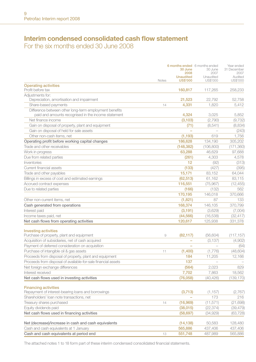## Interim condensed consolidated cash flow statement

For the six months ended 30 June 2008

|                                                                                   |       | 30 June<br>2008                     | 6 months ended 6 months ended<br>30 June<br>2007 | Year ended<br>31 December<br>2007 |
|-----------------------------------------------------------------------------------|-------|-------------------------------------|--------------------------------------------------|-----------------------------------|
|                                                                                   | Notes | <b>Unaudited</b><br><b>US\$'000</b> | Unaudited<br>US\$'000                            | Audited<br>US\$'000               |
| <b>Operating activities</b>                                                       |       |                                     |                                                  |                                   |
| Profit before tax                                                                 |       | 160.817                             | 117,265                                          | 258.233                           |
| Adiustments for:                                                                  |       |                                     |                                                  |                                   |
| Depreciation, amortisation and impairment                                         |       | 21,523                              | 22,792                                           | 52,758                            |
| Share-based payments                                                              | 14    | 4,331                               | 1,820                                            | 5,412                             |
| Difference between other long-term employment benefits                            |       |                                     |                                                  |                                   |
| paid and amounts recognised in the income statement                               |       | 4,324                               | 3,025                                            | 5,852                             |
| Net finance income                                                                |       | (3, 103)                            | (2,790)                                          | (9, 732)                          |
| Gain on disposal of property, plant and equipment                                 |       | (71)                                | (8, 541)                                         | (8,834)                           |
| Gain on disposal of held for sale assets                                          |       |                                     | $\overline{\phantom{a}}$                         | (243)                             |
| Other non-cash items, net                                                         |       | (1, 193)                            | 619                                              | 1.756                             |
| Operating profit before working capital changes                                   |       | 186,628                             | 134.190                                          | 305,202                           |
| Trade and other receivables                                                       |       | (148, 382)                          | (106, 800)                                       | (171, 360)                        |
| Work in progress                                                                  |       | 63,288                              | 46,629                                           | 97,688                            |
| Due from related parties                                                          |       | (261)                               | 4,303                                            | 4,578                             |
| Inventories                                                                       |       | 12                                  | (92)                                             | (313)                             |
| Current financial assets                                                          |       | (133)                               | (427)                                            | (395)                             |
| Trade and other payables                                                          |       | 15,171                              | 83,152                                           | 64,044                            |
| Billings in excess of cost and estimated earnings                                 |       | (62, 513)                           | 61,162                                           | 83,115                            |
| Accrued contract expenses                                                         |       | 116,551                             | (75, 967)                                        | (12, 455)                         |
| Due to related parties                                                            |       | (166)                               | (132)                                            | 562                               |
|                                                                                   |       | 170,195                             | 146,018                                          | 370,666                           |
| Other non-current items, net                                                      |       | (1.821)                             | 87                                               | 133                               |
| Cash generated from operations                                                    |       | 168,374                             | 146,105                                          | 370.799                           |
| Interest paid                                                                     |       | (3, 191)                            | (3.629)                                          | (7,004)                           |
| Income taxes paid, net                                                            |       | (44, 566)                           | (16, 538)                                        | (32, 417)                         |
| Net cash flows from operating activities                                          |       | 120,617                             | 125,938                                          | 331,378                           |
|                                                                                   |       |                                     |                                                  |                                   |
| <b>Investing activities</b>                                                       |       |                                     |                                                  |                                   |
| Purchase of property, plant and equipment                                         | 9     | (82, 117)                           | (56, 604)                                        | (117, 157)                        |
| Acquisition of subsidiaries, net of cash acquired                                 |       | ÷,                                  | (3, 137)                                         | (4,902)                           |
| Payment of deferred consideration on acquisition                                  |       | $\overline{\phantom{a}}$            |                                                  | (64)                              |
| Purchase of intangible oil & gas assets                                           | 11    | (1,400)                             | (1,776)                                          | (48, 604)                         |
| Proceeds from disposal of property, plant and equipment                           |       | 184                                 | 11,205                                           | 12,166                            |
| Proceeds from disposal of available-for-sale financial assets                     |       | 137                                 | $\overline{\phantom{a}}$                         |                                   |
| Net foreign exchange differences                                                  |       | (564)                               | 2.023                                            | 829                               |
| Interest received                                                                 |       | 7.702                               | 7.863                                            | 18.562                            |
| Net cash flows used in investing activities                                       |       | (76, 058)                           | (40, 426)                                        | (139.170)                         |
|                                                                                   |       |                                     |                                                  |                                   |
| <b>Financing activities</b><br>Repayment of interest-bearing loans and borrowings |       | (3,713)                             | (1, 157)                                         | (2,767)                           |
| Shareholders' loan note transactions, net                                         |       |                                     | 173                                              | 216                               |
| Treasury shares purchased                                                         | 14    | (16,969)                            | (11, 571)                                        | (21, 698)                         |
| Equity dividends paid                                                             |       |                                     | (22, 374)                                        | (39, 479)                         |
| Net cash flows used in financing activities                                       |       | (38,015)<br>(58, 697)               | (34, 929)                                        | (63, 728)                         |
|                                                                                   |       |                                     |                                                  |                                   |
| Net (decrease)/increase in cash and cash equivalents                              |       | (14, 138)                           | 50,583                                           | 128,480                           |
| Cash and cash equivalents at 1 January                                            |       | 565,886                             | 437,406                                          | 437,406                           |
| Cash and cash equivalents at period end                                           | 13    | 551,748                             | 487,989                                          | 565,886                           |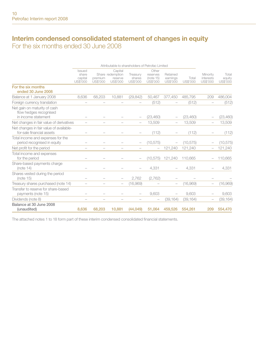## Interim condensed consolidated statement of changes in equity For the six months ended 30 June 2008

|                                                                               | Attributable to shareholders of Petrofac Limited |                          |                                                    |                                |                                            |                                  |                   |                                          |                             |
|-------------------------------------------------------------------------------|--------------------------------------------------|--------------------------|----------------------------------------------------|--------------------------------|--------------------------------------------|----------------------------------|-------------------|------------------------------------------|-----------------------------|
|                                                                               | Issued<br>share<br>capital<br>US\$'000           | premium<br>US\$'000      | Capital<br>Share redemption<br>reserve<br>US\$'000 | Treasury<br>shares<br>US\$'000 | Other<br>reserves<br>(note 15)<br>US\$'000 | Retained<br>earnings<br>US\$'000 | Total<br>US\$'000 | Minority<br><i>interests</i><br>US\$'000 | Total<br>equity<br>US\$'000 |
| For the six months<br>ended 30 June 2008                                      |                                                  |                          |                                                    |                                |                                            |                                  |                   |                                          |                             |
| Balance at 1 January 2008                                                     | 8.636                                            | 68,203                   | 10.881                                             | (29.842)                       | 50.467                                     | 377,450                          | 485.795           | 209                                      | 486,004                     |
| Foreign currency translation                                                  |                                                  |                          |                                                    |                                | (512)                                      |                                  | (512)             |                                          | (512)                       |
| Net gain on maturity of cash<br>flow hedges recognised<br>in income statement |                                                  |                          |                                                    |                                | (23, 460)                                  |                                  | (23, 460)         |                                          | (23, 460)                   |
| Net changes in fair value of derivatives                                      |                                                  |                          |                                                    |                                | 13.509                                     |                                  | 13.509            |                                          | 13,509                      |
| Net changes in fair value of available-<br>for-sale financial assets          |                                                  |                          |                                                    |                                | (112)                                      |                                  | (112)             |                                          | (112)                       |
| Total income and expenses for the<br>period recognised in equity              |                                                  |                          |                                                    |                                | (10, 575)                                  |                                  | (10.575)          |                                          | (10, 575)                   |
| Net profit for the period                                                     | $\overline{\phantom{0}}$                         | $\overline{\phantom{0}}$ |                                                    |                                | $\overline{\phantom{0}}$                   | 121,240                          | 121,240           |                                          | 121,240                     |
| Total income and expenses<br>for the period                                   |                                                  |                          |                                                    |                                | (10, 575)                                  | 121,240                          | 110,665           |                                          | 110,665                     |
| Share-based payments charge<br>(note 14)                                      |                                                  |                          |                                                    |                                | 4.331                                      |                                  | 4.331             |                                          | 4,331                       |
| Shares vested during the period<br>(note 15)                                  | -                                                |                          |                                                    | 2.762                          | (2,762)                                    |                                  |                   |                                          |                             |
| Treasury shares purchased (note 14)                                           | -                                                |                          |                                                    | (16,969)                       |                                            | $\overline{\phantom{0}}$         | (16,969)          | $\overline{\phantom{0}}$                 | (16,969)                    |
| Transfer to reserve for share-based<br>payments (note 15)                     |                                                  |                          |                                                    |                                | 9,603                                      |                                  | 9.603             |                                          | 9.603                       |
| Dividends (note 8)                                                            |                                                  |                          |                                                    |                                | $\overline{\phantom{0}}$                   | (39, 164)                        | (39, 164)         | $\overline{\phantom{0}}$                 | (39, 164)                   |
| Balance at 30 June 2008<br>(unaudited)                                        | 8.636                                            | 68,203                   | 10.881                                             | (44, 049)                      | 51.064                                     | 459.526                          | 554.261           | 209                                      | 554,470                     |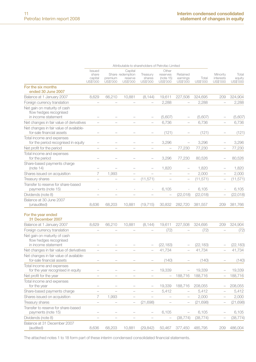|                                                                                                                  |                                        |                          |                                                    | Attributable to shareholders of Petrofac Limited |                                            |                                  |                   |                                   |                             |
|------------------------------------------------------------------------------------------------------------------|----------------------------------------|--------------------------|----------------------------------------------------|--------------------------------------------------|--------------------------------------------|----------------------------------|-------------------|-----------------------------------|-----------------------------|
|                                                                                                                  | Issued<br>share<br>capital<br>US\$'000 | premium<br>US\$'000      | Capital<br>Share redemption<br>reserve<br>US\$'000 | Treasurv<br>shares<br>US\$'000                   | Other<br>reserves<br>(note 15)<br>US\$'000 | Retained<br>earnings<br>US\$'000 | Total<br>US\$'000 | Minority<br>interests<br>US\$'000 | Total<br>equity<br>US\$'000 |
| For the six months<br>ended 30 June 2007                                                                         |                                        |                          |                                                    |                                                  |                                            |                                  |                   |                                   |                             |
| Balance at 1 January 2007                                                                                        | 8.629                                  | 66,210                   | 10.881                                             | (8, 144)                                         | 19,611                                     | 227,508                          | 324,695           | 209                               | 324,904                     |
| Foreign currency translation                                                                                     | $\overline{\phantom{0}}$               |                          | $\overline{\phantom{a}}$                           | $\overline{a}$                                   | 2,288                                      | $\overline{a}$                   | 2,288             | ÷                                 | 2,288                       |
| Net gain on maturity of cash<br>flow hedges recognised<br>in income statement                                    |                                        |                          |                                                    |                                                  | (5,607)                                    |                                  | (5,607)           |                                   | (5,607)                     |
| Net changes in fair value of derivatives                                                                         |                                        |                          |                                                    |                                                  | 6,736                                      |                                  | 6,736             |                                   | 6,736                       |
| Net changes in fair value of available-<br>for-sale financial assets                                             |                                        |                          |                                                    |                                                  | (121)                                      |                                  | (121)             |                                   | (121)                       |
| Total income and expenses<br>for the period recognised in equity                                                 |                                        |                          |                                                    |                                                  | 3,296                                      |                                  | 3,296             |                                   | 3,296                       |
| Net profit for the period                                                                                        | $\overline{\phantom{0}}$               | $\overline{\phantom{a}}$ | $\overline{\phantom{a}}$                           | $\overline{\phantom{a}}$                         | $\overline{a}$                             | 77,230                           | 77,230            | $\overline{a}$                    | 77,230                      |
| Total income and expenses<br>for the period                                                                      |                                        |                          |                                                    |                                                  | 3.296                                      | 77.230                           | 80.526            |                                   | 80,526                      |
| Share-based payments charge<br>(note 14)                                                                         |                                        |                          |                                                    |                                                  | 1,820                                      |                                  | 1,820             |                                   | 1,820                       |
| Shares issued on acquisition                                                                                     | 7                                      | 1,993                    | $\overline{a}$                                     |                                                  | $\overline{a}$                             | $\overline{a}$                   | 2,000             | $\overline{a}$                    | 2,000                       |
| Treasury shares                                                                                                  | $\overline{\phantom{a}}$               | $\overline{\phantom{a}}$ | $\overline{\phantom{0}}$                           | (11, 571)                                        | $\overline{\phantom{a}}$                   | $\overline{\phantom{0}}$         | (11, 571)         | $\overline{a}$                    | (11, 571)                   |
| Transfer to reserve for share-based<br>payments (note 15)                                                        | J.                                     | J.                       | ÷                                                  |                                                  | 6.105                                      |                                  | 6,105             |                                   | 6,105                       |
| Dividends (note 8)                                                                                               | $\overline{\phantom{a}}$               |                          |                                                    |                                                  |                                            | (22, 018)                        | (22, 018)         |                                   | (22, 018)                   |
| Balance at 30 June 2007<br>(unaudited)                                                                           | 8.636                                  | 68.203                   | 10,881                                             | (19, 715)                                        | 30,832                                     | 282,720                          | 381,557           | 209                               | 381,766                     |
| For the year ended<br>31 December 2007                                                                           |                                        |                          |                                                    |                                                  |                                            |                                  |                   |                                   |                             |
| Balance at 1 January 2007                                                                                        | 8,629                                  | 66,210                   | 10,881                                             | (8, 144)                                         | 19,611                                     | 227,508                          | 324,695           | 209                               | 324,904                     |
| Foreign currency translation                                                                                     | $\overline{\phantom{0}}$               | ۰                        | ۰                                                  |                                                  | (72)                                       |                                  | (72)              |                                   | (72)                        |
| Net gain on maturity of cash<br>flow hedges recognised                                                           |                                        |                          |                                                    |                                                  |                                            |                                  |                   |                                   |                             |
| in income statement                                                                                              |                                        |                          |                                                    |                                                  | (22, 183)<br>41,734                        |                                  | (22, 183)         |                                   | (22, 183)                   |
| Net changes in fair value of derivatives<br>Net changes in fair value of available-<br>for-sale financial assets |                                        |                          |                                                    |                                                  | (140)                                      |                                  | 41,734<br>(140)   |                                   | 41,734<br>(140)             |
| Total income and expenses<br>for the year recognised in equity                                                   | $\overline{\phantom{0}}$               |                          |                                                    |                                                  | 19,339                                     |                                  | 19,339            |                                   | 19,339                      |
| Net profit for the year                                                                                          |                                        |                          |                                                    |                                                  | $\overline{\phantom{0}}$                   | 188.716                          | 188,716           |                                   | 188,716                     |
| Total income and expenses<br>for the year                                                                        |                                        |                          |                                                    |                                                  | 19,339                                     | 188,716                          | 208,055           |                                   | 208,055                     |
| Share-based payments charge                                                                                      | $\overline{\phantom{0}}$               |                          | $\overline{a}$                                     |                                                  | 5,412                                      |                                  | 5,412             | $\overline{a}$                    | 5,412                       |
| Shares issued on acquisition                                                                                     | 7                                      | 1,993                    |                                                    |                                                  |                                            |                                  | 2,000             |                                   | 2,000                       |
| <b>Treasury shares</b>                                                                                           | $\overline{\phantom{0}}$               |                          | $\overline{\phantom{a}}$                           | (21, 698)                                        |                                            | $\overline{a}$                   | (21, 698)         | $\overline{\phantom{0}}$          | (21, 698)                   |
| Transfer to reserve for share-based<br>payments (note 15)                                                        |                                        |                          |                                                    |                                                  | 6,105                                      |                                  | 6,105             |                                   | 6,105                       |
| Dividends (note 8)                                                                                               |                                        |                          |                                                    |                                                  |                                            | (38, 774)                        | (38, 774)         |                                   | (38, 774)                   |
| Balance at 31 December 2007<br>(audited)                                                                         | 8,636                                  | 68,203                   | 10,881                                             | (29, 842)                                        | 50,467                                     | 377,450                          | 485,795           | 209                               | 486,004                     |
|                                                                                                                  |                                        |                          |                                                    |                                                  |                                            |                                  |                   |                                   |                             |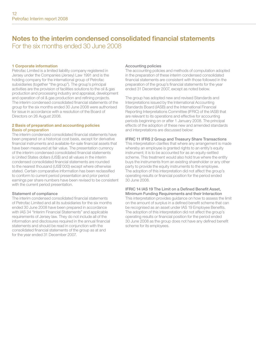## Notes to the interim condensed consolidated financial statements For the six months ended 30 June 2008

#### 1 Corporate information

Petrofac Limited is a limited liability company registered in Jersey under the Companies (Jersey) Law 1991 and is the holding company for the international group of Petrofac subsidiaries (together "the group"). The group's principal activities are the provision of facilities solutions to the oil & gas production and processing industry and appraisal, development and operation of oil & gas production and refining projects. The interim condensed consolidated financial statements of the group for the six months ended 30 June 2008 were authorised for issue in accordance with a resolution of the Board of Directors on 26 August 2008.

#### 2 Basis of preparation and accounting policies Basis of preparation

The interim condensed consolidated financial statements have been prepared on a historical cost basis, except for derivative financial instruments and available-for-sale financial assets that have been measured at fair value. The presentation currency of the interim condensed consolidated financial statements is United States dollars (US\$) and all values in the interim condensed consolidated financial statements are rounded to the nearest thousand (US\$'000) except where otherwise stated. Certain comparative information has been reclassified to conform to current period presentation and prior period earnings per share numbers have been revised to be consistent with the current period presentation.

#### Statement of compliance

The interim condensed consolidated financial statements of Petrofac Limited and all its subsidiaries for the six months ended 30 June 2008 have been prepared in accordance with IAS 34 "Interim Financial Statements" and applicable requirements of Jersey law. They do not include all of the information and disclosures required in the annual financial statements and should be read in conjunction with the consolidated financial statements of the group as at and for the year ended 31 December 2007.

#### Accounting policies

The accounting policies and methods of computation adopted in the preparation of these interim condensed consolidated financial statements are consistent with those followed in the preparation of the group's financial statements for the year ended 31 December 2007, except as noted below.

The group has adopted new and revised Standards and Interpretations issued by the International Accounting Standards Board (IASB) and the International Financial Reporting Interpretations Committee (IFRIC) of the IASB that are relevant to its operations and effective for accounting periods beginning on or after 1 January 2008. The principal effects of the adoption of these new and amended standards and interpretations are discussed below:

#### IFRIC 11 IFRS 2 Group and Treasury Share Transactions

This interpretation clarifies that where any arrangement is made whereby an employee is granted rights to an entity's equity instrument; it is to be accounted for as an equity-settled scheme. This treatment would also hold true where the entity buys the instruments from an existing shareholder or any other party to provide the equity instruments to the employee. The adoption of this interpretation did not affect the group's operating results or financial position for the period ended 30 June 2008.

#### IFRIC 14 IAS 19 The Limit on a Defined Benefit Asset, Minimum Funding Requirements and their Interaction

This interpretation provides guidance on how to assess the limit on the amount of surplus in a defined benefit scheme that can be recognised as an asset under IAS 19 Employee Benefits. The adoption of this interpretation did not affect the group's operating results or financial position for the period ended 30 June 2008 as the group does not have any defined benefit scheme for its employees.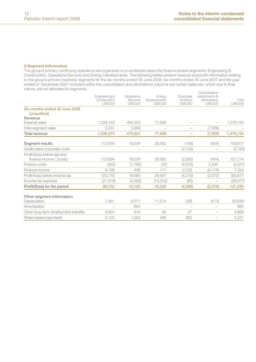#### 3 Segment information

The group's primary continuing operations are organised on a worldwide basis into three business segments: Engineering & Construction, Operations Services and Energy Developments. The following tables present revenue and profit information relating to the group's primary business segments for the six months ended 30 June 2008, six months ended 30 June 2007 and the year ended 31 December 2007. Included within the consolidation and eliminations columns are certain balances, which due to their nature, are not allocated to segments.

|                                              | Engineering &<br>Construction<br>US\$'000 | Operations<br>Services<br>US\$'000 | Energy<br>Developments<br>US\$'000 | Corporate<br>& others<br>US\$'000 | Consolidation<br>adjustments &<br>eliminations<br>US\$'000 | Total<br>US\$'000 |
|----------------------------------------------|-------------------------------------------|------------------------------------|------------------------------------|-----------------------------------|------------------------------------------------------------|-------------------|
| Six months ended 30 June 2008<br>(unaudited) |                                           |                                    |                                    |                                   |                                                            |                   |
| Revenue                                      |                                           |                                    |                                    |                                   |                                                            |                   |
| <b>External sales</b>                        | 1,034,143                                 | 464,323                            | 77,688                             |                                   |                                                            | 1,576,154         |
| Inter-segment sales                          | 2,231                                     | 5,698                              |                                    |                                   | (7,929)                                                    |                   |
| Total revenue                                | 1,036,374                                 | 470,021                            | 77,688                             | -                                 | (7,929)                                                    | 1,576,154         |
| Segment results                              | 112,834                                   | 18,034                             | 29,562                             | (159)                             | (454)                                                      | 159,817           |
| Unallocated corporate costs                  |                                           |                                    |                                    | (2, 103)                          |                                                            | (2, 103)          |
| Profit/(loss) before tax and                 |                                           |                                    |                                    |                                   |                                                            |                   |
| finance income / (costs)                     | 112,834                                   | 18,034                             | 29.562                             | (2, 262)                          | (454)                                                      | 157,714           |
| Finance costs                                | (262)                                     | (1,785)                            | (32)                               | (4,675)                           | 2,503                                                      | (4,251)           |
| Finance income                               | 8.198                                     | 436                                | 117                                | 2,722                             | (4, 119)                                                   | 7.354             |
| Profit/loss) before income tax               | 120,770                                   | 16,685                             | 29,647                             | (4,215)                           | (2,070)                                                    | 160,817           |
| Income tax expense                           | (21, 618)                                 | (4,582)                            | (13, 312)                          | (65)                              |                                                            | (39, 577)         |
| Profit/(loss) for the period                 | 99,152                                    | 12,103                             | 16,335                             | (4,280)                           | (2,070)                                                    | 121,240           |
| Other segment information                    |                                           |                                    |                                    |                                   |                                                            |                   |
| Depreciation                                 | 7,481                                     | 2,071                              | 11,274                             | 226                               | (413)                                                      | 20,639            |
| Amortisation                                 | $\overline{\phantom{0}}$                  | 884                                |                                    |                                   |                                                            | 884               |
| Other long-term employment benefits          | 3,854                                     | 914                                | 93                                 | 27                                |                                                            | 4,888             |
| Share-based payments                         | 2,120                                     | 1,053                              | 496                                | 662                               |                                                            | 4,331             |
|                                              |                                           |                                    |                                    |                                   |                                                            |                   |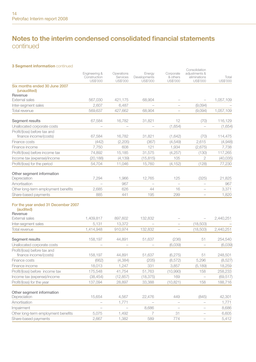## Notes to the interim condensed consolidated financial statements continued

#### 3 Segment information continued

|                                                             | Engineering &<br>Construction<br>US\$'000 | Operations<br>Services<br>US\$'000 | Energy<br>Developments<br>US\$'000 | Corporate<br>& others<br>US\$'000 | Consolidation<br>adjustments &<br>eliminations<br>US\$'000 | Total<br>US\$'000 |
|-------------------------------------------------------------|-------------------------------------------|------------------------------------|------------------------------------|-----------------------------------|------------------------------------------------------------|-------------------|
| Six months ended 30 June 2007<br>(unaudited)                |                                           |                                    |                                    |                                   |                                                            |                   |
| Revenue<br><b>External sales</b>                            | 567,030                                   | 421,175                            | 68,904                             |                                   |                                                            | 1,057,109         |
| Inter-segment sales                                         | 2,607                                     | 6,487                              |                                    | $\overline{\phantom{0}}$          | (9,094)                                                    |                   |
| Total revenue                                               | 569.637                                   | 427,662                            | 68.904                             |                                   | (9,094)                                                    | 1,057,109         |
| Segment results                                             | 67,584                                    | 16,782                             | 31,821                             | 12                                | (70)                                                       | 116,129           |
| Unallocated corporate costs                                 |                                           | $\overline{\phantom{0}}$           |                                    | (1,654)                           |                                                            | (1,654)           |
| Profit/(loss) before tax and<br>finance income/(costs)      | 67,584                                    | 16,782                             | 31,821                             | (1,642)                           | (70)                                                       | 114,475           |
| Finance costs                                               | (442)                                     | (2,205)                            | (367)                              | (4, 549)                          | 2,615                                                      | (4,948)           |
| Finance income                                              | 7,750                                     | 608                                | 121                                | 1,934                             | (2,675)                                                    | 7,738             |
| Profit/(loss) before income tax                             | 74,892                                    | 15,185                             | 31,575                             | (4, 257)                          | (130)                                                      | 117,265           |
| Income tax (expense)/income                                 | (20, 188)                                 | (4, 139)                           | (15, 815)                          | 105                               | $\overline{2}$                                             | (40, 035)         |
| Profit/(loss) for the period                                | 54,704                                    | 11,046                             | 15,760                             | (4, 152)                          | (128)                                                      | 77,230            |
| Other segment information<br>Depreciation                   | 7,294                                     | 1.966                              | 12,765                             | 125                               | (325)                                                      | 21,825            |
| Amortisation                                                |                                           | 967                                |                                    | $\overline{\phantom{0}}$          | $\overline{\phantom{a}}$                                   | 967               |
| Other long-term employment benefits                         | 2,685                                     | 626                                | 44                                 | 16                                |                                                            | 3,371             |
| Share-based payments                                        | 885                                       | 441                                | 195                                | 299                               | $\overline{\phantom{0}}$                                   | 1,820             |
| For the year ended 31 December 2007<br>(audited)<br>Revenue |                                           |                                    |                                    |                                   |                                                            |                   |
| External sales                                              | 1,409,817                                 | 897,602                            | 132,832                            |                                   |                                                            | 2,440,251         |
| Inter-segment sales                                         | 5,131                                     | 13,372                             |                                    |                                   | (18,503)                                                   |                   |
| Total revenue                                               | 1.414.948                                 | 910.974                            | 132.832                            | ÷                                 | (18,503)                                                   | 2.440.251         |
| Segment results                                             | 158,197                                   | 44,891                             | 51,637                             | (236)                             | 51                                                         | 254,540           |
| Unallocated corporate costs                                 |                                           |                                    |                                    | (6,039)                           |                                                            | (6,039)           |
| Profit/(loss) before tax and<br>finance income/(costs)      | 158,197                                   | 44.891                             | 51.637                             | (6, 275)                          | 51                                                         | 248.501           |
| Finance costs                                               | (662)                                     | (4, 384)                           | (205)                              | (8, 572)                          | 5,296                                                      | (8,527)           |
| Finance income                                              | 18,013                                    | 1,247                              | 331                                | 3,857                             | (5, 189)                                                   | 18,259            |
| Profit/(loss) before income tax                             | 175,548                                   | 41,754                             | 51,763                             | (10,990)                          | 158                                                        | 258,233           |
| Income tax (expense)/income                                 | (38, 454)                                 | (12, 857)                          | (18, 375)                          | 169                               | $\overline{\phantom{a}}$                                   | (69, 517)         |
| Profit/(loss) for the year                                  | 137,094                                   | 28,897                             | 33,388                             | (10, 821)                         | 158                                                        | 188,716           |
| Other segment information<br>Depreciation                   | 15,654                                    | 4,567                              | 22,476                             | 449                               | (845)                                                      | 42,301            |
| Amortisation                                                |                                           | 1,771                              |                                    |                                   |                                                            | 1,771             |
| Impairment                                                  |                                           | $\frac{1}{2}$                      | 8.686                              | $\overline{a}$                    | $\overline{\phantom{a}}$                                   | 8,686             |
| Other long-term employment benefits                         | 5,075                                     | 1,492                              | 7                                  | 31                                | $\overline{\phantom{a}}$                                   | 6,605             |
| Share-based payments                                        | 2,667                                     | 1,382                              | 589                                | 774                               |                                                            | 5,412             |
|                                                             |                                           |                                    |                                    |                                   |                                                            |                   |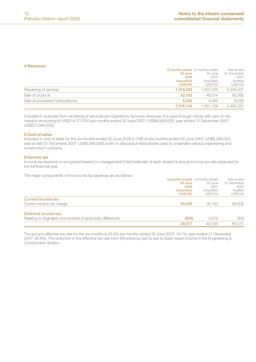#### 4 Revenues

|                                | 6 months ended 6 months ended |           | Year ended  |
|--------------------------------|-------------------------------|-----------|-------------|
|                                | 30 June                       | 30 June   | 31 December |
|                                | 2008                          | 2007      | 2007        |
|                                | <b>Unaudited</b>              | Unaudited | Audited     |
|                                | <b>US\$'000</b>               | US\$'000  | US\$'000    |
| Rendering of services          | 1.518.338                     | 1.007.030 | 2.346.431   |
| Sale of crude oil              | 52.182                        | 46.014    | 85.592      |
| Sale of processed hydrocarbons | 5.634                         | 4.065     | 8.228       |
|                                | 1.576.154                     | 1.057.109 | 2.440.251   |

Included in revenues from rendering of services are Operations Services revenues of a pass-through nature with zero or low margins amounting to US\$114,371,000 (six months ended 30 June 2007: US\$94,836,000; year ended 31 December 2007: US\$227,048,000).

#### 5 Cost of sales

Included in cost of sales for the six months ended 30 June 2008 is US\$ nil (six months ended 30 June 2007: US\$8,296,000; year ended 31 December 2007: US\$8,590,000) profit on disposal of fixed assets used to undertake various engineering and construction contracts.

#### 6 Income tax

Income tax expense is recognised based on management's best estimate of each division's annual income tax rate expected for the full financial year.

The major components of the income tax expense are as follows:

|                                                               | 6 months ended 6 months ended |           | Year ended  |
|---------------------------------------------------------------|-------------------------------|-----------|-------------|
|                                                               | 30 June                       | 30 June   | 31 December |
|                                                               | 2008                          | 2007      | 2007        |
|                                                               | <b>Unaudited</b>              | Unaudited | Audited     |
|                                                               | <b>US\$'000</b>               | US\$'000  | US\$'000    |
| Current income tax                                            |                               |           |             |
| Current income tax charge                                     | 40,445                        | 36.163    | 69,208      |
| Deferred income tax                                           |                               |           |             |
| Relating to origination and reversal of temporary differences | (868)                         | 3.872     | 309         |
|                                                               | 39,577                        | 40.035    | 69.517      |

The group's effective tax rate for the six months is 24.6% (six months ended 30 June 2007: 34.1%; year ended 31 December 2007: 26.9%). The reduction in the effective tax rate from the previous year is due to lower taxed income in the Engineering & Construction division.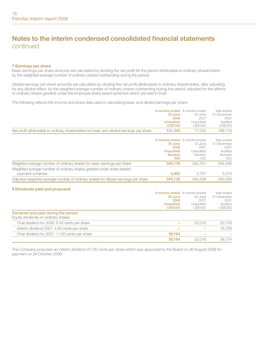## Notes to the interim condensed consolidated financial statements continued

#### 7 Earnings per share

Basic earnings per share amounts are calculated by dividing the net profit for the period attributable to ordinary shareholders by the weighted average number of ordinary shares outstanding during the period.

Diluted earnings per share amounts are calculated by dividing the net profit attributable to ordinary shareholders, after adjusting for any dilutive effect, by the weighted average number of ordinary shares outstanding during the period, adjusted for the effects of ordinary shares granted under the employee share award schemes which are held in trust.

The following reflects the income and share data used in calculating basic and diluted earnings per share:

| Net profit attributable to ordinary shareholders for basic and diluted earnings per share | 6 months ended 6 months ended<br>30 June<br>2008<br><b>Unaudited</b><br><b>US\$'000</b><br>121.240 | 30 June<br>2007<br>Unaudited<br>US\$'000<br>77.230 | Year ended<br>31 December<br>2007<br>Audited<br>US\$'000<br>188,716 |
|-------------------------------------------------------------------------------------------|----------------------------------------------------------------------------------------------------|----------------------------------------------------|---------------------------------------------------------------------|
|                                                                                           |                                                                                                    |                                                    |                                                                     |
|                                                                                           | 6 months ended 6 months ended<br>30 June<br>2008<br><b>Unaudited</b><br>Number<br>'000             | 30 June<br>2007<br>Unaudited<br>Number<br>'000     | Year ended<br>31 December<br>2007<br>Audited<br>Number<br>'000      |
| Weighted average number of ordinary shares for basic earnings per share                   | 340.176                                                                                            | 342.701                                            | 342.246                                                             |
| Weighted average number of ordinary shares granted under share-based<br>payment schemes   | 4.952                                                                                              | 2.707                                              | 3,313                                                               |
| Adjusted weighted average number of ordinary shares for diluted earnings per share        | 345.128                                                                                            | 345,408                                            | 345.559                                                             |
|                                                                                           |                                                                                                    |                                                    |                                                                     |

#### 8 Dividends paid and proposed

|                                                                             | 6 months ended 6 months ended<br>30 June<br>2008<br><b>Unaudited</b><br><b>US\$'000</b> | 30 June<br>2007<br>Unaudited<br>US\$'000 | Year ended<br>31 December<br>2007<br>Audited<br>US\$'000 |
|-----------------------------------------------------------------------------|-----------------------------------------------------------------------------------------|------------------------------------------|----------------------------------------------------------|
| Declared and paid during the period<br>Equity dividends on ordinary shares: |                                                                                         |                                          |                                                          |
| Final dividend for 2006: 6.43 cents per share                               |                                                                                         | 22.018                                   | 22.018                                                   |
| Interim dividend 2007: 4.90 cents per share                                 |                                                                                         |                                          | 16.756                                                   |
| Final dividend for 2007: 11.50 cents per share                              | 39.164                                                                                  |                                          |                                                          |
|                                                                             | 39.164                                                                                  | 22.018                                   | 38.774                                                   |

The Company proposes an interim dividend of 7.50 cents per share which was approved by the Board on 26 August 2008 for payment on 24 October 2008.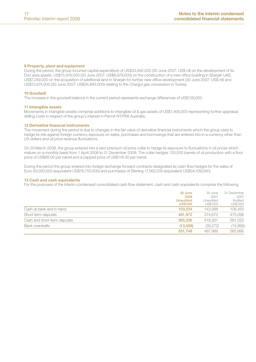#### 9 Property, plant and equipment

During the period, the group incurred capital expenditure of US\$33,842,000 (30 June 2007: US\$ nil) on the development of its Don area assets, US\$15,916,000 (30 June 2007: US\$6,979,000) on the construction of a new office building in Sharjah UAE, US\$7,249,000 on the acquisition of additional land in Sharjah for further new office development (30 June 2007: US\$ nil) and US\$13,674,000 (30 June 2007: US\$34,893,000) relating to the Chergui gas concession in Tunisia.

#### 10 Goodwill

The increase in the goodwill balance in the current period represents exchange differences of US\$139,000.

#### 11 Intangible assets

Movements in intangible assets comprise additions to intangible oil & gas assets of US\$1,400,000 representing further appraisal drilling costs in respect of the group's interest in Permit NT/P68 Australia.

#### 12 Derivative financial instruments

The movement during the period is due to changes in the fair value of derivative financial instruments which the group uses to hedge its risk against foreign currency exposure on sales, purchases and borrowings that are entered into in a currency other than US dollars and oil price revenue fluctuations.

On 20 March 2008, the group entered into a zero premium oil price collar to hedge its exposure to fluctuations in oil prices which mature on a monthly basis from 1 April 2008 to 31 December 2008. The collar hedges 135,000 barrels of oil production with a floor price of US\$95.00 per barrel and a capped price of US\$118.30 per barrel.

During the period the group entered into foreign exchange forward contracts designated as cash flow hedges for the sales of Euro 50,000,000 (equivalent US\$76,750,000) and purchases of Sterling 17,562,000 (equivalent US\$34,109,000).

#### 13 Cash and cash equivalents

For the purposes of the interim condensed consolidated cash flow statement, cash and cash equivalents comprise the following:

|                              | 30 June<br>2008                     | 30 June<br>2007       | 31 December<br>2007 |
|------------------------------|-------------------------------------|-----------------------|---------------------|
|                              | <b>Unaudited</b><br><b>US\$'000</b> | Unaudited<br>US\$'000 | Audited<br>US\$'000 |
| Cash at bank and in hand     | 103.234                             | 143.588               | 106.454             |
| Short-term deposits          | 461.972                             | 374.673               | 475.098             |
| Cash and short-term deposits | 565,206                             | 518.261               | 581.552             |
| Bank overdrafts              | (13.458)                            | (30.272)              | (15,666)            |
|                              | 551.748                             | 487.989               | 565,886             |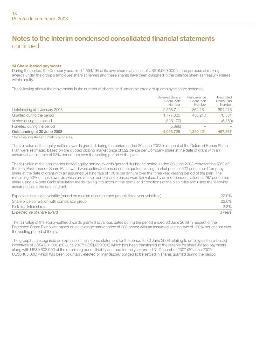## Notes to the interim condensed consolidated financial statements continued

#### 14 Share-based payments

During the period, the Company acquired 1,554,194 of its own shares at a cost of US\$16,969,000 for the purpose of making awards under the group's employee share schemes and these shares have been classified in the balance sheet as treasury shares within equity.

The following shows the movements in the number of shares held under the three group employee share schemes:

|                               | Deferred Bonus<br>Share Plan*<br>Number | Performance<br>Share Plan<br>Number | Restricted<br>Share Plan<br>Number |
|-------------------------------|-----------------------------------------|-------------------------------------|------------------------------------|
| Outstanding at 1 January 2008 | 2.558.711                               | 864.181                             | 394.216                            |
| Granted during the period     | 1.777.080                               | 456,240                             | 78.331                             |
| Vested during the period      | (326, 170)                              | $\sim$                              | (5, 180)                           |
| Forfeited during the period   | (5.896)                                 | $\sim$                              |                                    |
| Outstanding at 30 June 2008   | 4.003.725                               | 1.320.421                           | 467.367                            |

\* Includes invested and matching shares.

The fair value of the equity-settled awards granted during the period ended 30 June 2008 in respect of the Deferred Bonus Share Plan were estimated based on the quoted closing market price of 522 pence per Company share at the date of grant with an assumed vesting rate of 93% per annum over the vesting period of the plan.

The fair value of the non-market based equity-settled awards granted during the period ended 30 June 2008 representing 50% of the total Performance Share Plan award were estimated based on the quoted closing market price of 522 pence per Company share at the date of grant with an assumed vesting rate of 100% per annum over the three year vesting period of the plan. The remaining 50% of these awards which are market performance based were fair valued by an independent valuer at 287 pence per share using a Monte Carlo simulation model taking into account the terms and conditions of the plan rules and using the following assumptions at the date of grant:

| Expected share price volatility (based on median of comparator group's three year volatilities) | 32.0%   |
|-------------------------------------------------------------------------------------------------|---------|
| Share price correlation with comparator group                                                   | 22.0%   |
| Risk-free interest rate                                                                         | $3.8\%$ |
| Expected life of share award                                                                    | 3 years |

The fair value of the equity-settled awards granted at various dates during the period ended 30 June 2008 in respect of the Restricted Share Plan were based on an average market price of 608 pence with an assumed vesting rate of 100% per annum over the vesting period of the plan.

The group has recognised an expense in the income statement for the period to 30 June 2008 relating to employee share-based incentives of US\$4,331,000 (30 June 2007: US\$1,820,000) which has been transferred to the reserve for share-based payments along with US\$9,603,000 of the remaining bonus liability accrued for the year ended 31 December 2007 (30 June 2007: US\$6,105,000) which has been voluntarily elected or mandatorily obliged to be settled in shares granted during the period.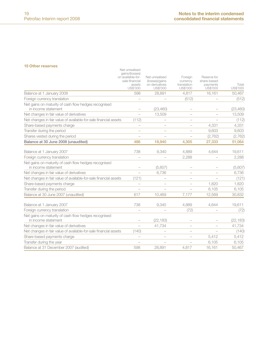#### 15 Other reserves

| <b>I</b> U ULIEI TESEI VES                                                  | Net unrealised                                                              |                                                                |                                                |                                                           |                   |
|-----------------------------------------------------------------------------|-----------------------------------------------------------------------------|----------------------------------------------------------------|------------------------------------------------|-----------------------------------------------------------|-------------------|
|                                                                             | gains/(losses)<br>on available-for-<br>sale financial<br>assets<br>US\$'000 | Net unrealised<br>(losses)/gains<br>on derivatives<br>US\$'000 | Foreign<br>currency<br>translation<br>US\$'000 | Reserve for<br>share-based<br>payments<br><b>US\$'000</b> | Total<br>US\$'000 |
| Balance at 1 January 2008                                                   | 598                                                                         | 28,891                                                         | 4.817                                          | 16.161                                                    | 50,467            |
| Foreign currency translation                                                |                                                                             |                                                                | (512)                                          |                                                           | (512)             |
| Net gains on maturity of cash flow hedges recognised<br>in income statement |                                                                             | (23, 460)                                                      |                                                |                                                           | (23, 460)         |
| Net changes in fair value of derivatives                                    | $\overline{\phantom{a}}$                                                    | 13.509                                                         |                                                |                                                           | 13.509            |
| Net changes in fair value of available-for-sale financial assets            | (112)                                                                       |                                                                |                                                |                                                           | (112)             |
| Share-based payments charge                                                 | $\overline{\phantom{a}}$                                                    |                                                                |                                                | 4.331                                                     | 4,331             |
| Transfer during the period                                                  | $\overline{\phantom{0}}$                                                    |                                                                | $\overline{\phantom{0}}$                       | 9.603                                                     | 9,603             |
| Shares vested during the period                                             | ÷                                                                           | $\overline{\phantom{a}}$                                       | $\overline{\phantom{0}}$                       | (2,762)                                                   | (2,762)           |
| Balance at 30 June 2008 (unaudited)                                         | 486                                                                         | 18,940                                                         | 4.305                                          | 27,333                                                    | 51,064            |
| Balance at 1 January 2007                                                   | 738                                                                         | 9.340                                                          | 4.889                                          | 4.644                                                     | 19,611            |
| Foreign currency translation                                                |                                                                             |                                                                | 2.288                                          |                                                           | 2,288             |
| Net gains on maturity of cash flow hedges recognised<br>in income statement |                                                                             | (5,607)                                                        |                                                |                                                           | (5,607)           |
| Net changes in fair value of derivatives                                    | $\overline{\phantom{0}}$                                                    | 6.736                                                          |                                                | $\overline{\phantom{0}}$                                  | 6.736             |
| Net changes in fair value of available-for-sale financial assets            | (121)                                                                       |                                                                |                                                |                                                           | (121)             |
| Share-based payments charge                                                 | $\overline{\phantom{a}}$                                                    |                                                                |                                                | 1.820                                                     | 1.820             |
| Transfer during the period                                                  |                                                                             |                                                                |                                                | 6.105                                                     | 6,105             |
| Balance at 30 June 2007 (unaudited)                                         | 617                                                                         | 10.469                                                         | 7.177                                          | 12.569                                                    | 30,832            |
| Balance at 1 January 2007                                                   | 738                                                                         | 9,340                                                          | 4,889                                          | 4.644                                                     | 19,611            |
| Foreign currency translation                                                |                                                                             |                                                                | (72)                                           |                                                           | (72)              |
| Net gains on maturity of cash flow hedges recognised                        |                                                                             |                                                                |                                                |                                                           |                   |
| in income statement                                                         |                                                                             | (22, 183)                                                      |                                                |                                                           | (22, 183)         |
| Net changes in fair value of derivatives                                    |                                                                             | 41,734                                                         |                                                |                                                           | 41,734            |
| Net changes in fair value of available-for-sale financial assets            | (140)                                                                       |                                                                |                                                |                                                           | (140)             |
| Share-based payments charge                                                 | $\overline{\phantom{0}}$                                                    |                                                                |                                                | 5.412                                                     | 5.412             |
| Transfer during the year                                                    | $\overline{\phantom{a}}$                                                    |                                                                |                                                | 6,105                                                     | 6,105             |
| Balance at 31 December 2007 (audited)                                       | 598                                                                         | 28,891                                                         | 4.817                                          | 16,161                                                    | 50,467            |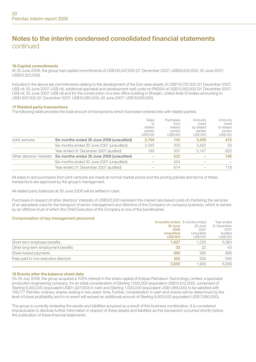## Notes to the interim condensed consolidated financial statements continued

#### 16 Capital commitments

At 30 June 2008, the group had capital commitments of US\$142,547,000 (31 December 2007: US\$29,630,000; 30 June 2007: US\$33,323,000).

Included in the above are commitments relating to the development of the Don area assets of US\$119,797,000 (31 December 2007: US\$ nil; 30 June 2007: US\$ nil), additional appraisal and development well costs on PM304 of US\$15,582,000 (31 December 2007: US\$ nil; 30 June 2007: US\$ nil) and for the construction of a new office building in Sharjah, United Arab Emirates amounting to US\$1,637,000 (31 December 2007: US\$10,260,000; 30 June 2007: US\$19,609,000).

#### 17 Related party transactions

The following table provides the total amount of transactions which have been entered into with related parties:

|                |                                                                      | Sales<br>ŤΟ<br>related<br>parties<br>US\$'000 | Purchases<br>from<br>related<br>parties<br>US\$'000 | Amounts<br>owed<br>by related<br>parties<br>US\$'000 | Amounts<br>owed<br>to related<br>parties<br>US\$'000 |
|----------------|----------------------------------------------------------------------|-----------------------------------------------|-----------------------------------------------------|------------------------------------------------------|------------------------------------------------------|
| Joint ventures | Six months ended 30 June 2008 (unaudited)                            | 2.768                                         | 104                                                 | 3.408                                                | 410                                                  |
|                | Six months ended 30 June 2007 (unaudited)                            | 2.343                                         | 233                                                 | 3.422                                                | 50                                                   |
|                | Year ended 31 December 2007 (audited)                                | 180                                           | 507                                                 | 3.147                                                | 625                                                  |
|                | Other directors' interests Six months ended 30 June 2008 (unaudited) |                                               | 522                                                 |                                                      | 168                                                  |
|                | Six months ended 30 June 2007 (unaudited)                            |                                               | 254                                                 |                                                      |                                                      |
|                | Year ended 31 December 2007 (audited)                                |                                               | 614                                                 |                                                      | 119                                                  |
|                |                                                                      |                                               |                                                     |                                                      |                                                      |

All sales to and purchases from joint ventures are made at normal market prices and the pricing policies and terms of these transactions are approved by the group's management.

All related party balances at 30 June 2008 will be settled in cash.

Purchases in respect of other directors' interests of US\$522,000 represent the market rate based costs of chartering the services of an aeroplane used for the transport of senior management and directors of the Company on company business, which is owned by an offshore trust of which the Chief Executive of the Company is one of the beneficiaries.

#### Compensation of key management personnel

|                                      | 6 months ended 6 months ended |           | Year ended  |
|--------------------------------------|-------------------------------|-----------|-------------|
|                                      | 30 June                       | 30 June   | 31 December |
|                                      | 2008                          | 2007      | 2007        |
|                                      | <b>Unaudited</b>              | Unaudited | Audited     |
|                                      | <b>US\$'000</b>               | US\$'000  | US\$'000    |
| Short-term employee benefits         | 1.627                         | 1.233     | 5,063       |
| Other long-term employment benefits  | 33                            | 22        | 43          |
| Share-based payments                 | 690                           | 395       | 906         |
| Fees paid to non-executive directors | 305                           | 255       | 546         |
|                                      | 2.655                         | 1.905     | 6.558       |

#### 18 Events after the balance sheet date

On 25 July 2008, the group acquired a 100% interest in the share capital of Eclipse Petroleum Technology Limited, a specialist production engineering company, for an initial consideration of Sterling 7,000,000 (equivalent US\$13,915,000), comprised of Sterling 6,000,000 (equivalent US\$11,927,000) in cash and Sterling 1,000,000 (equivalent US\$1,988,000) to be satisfied with 158,177 Petrofac ordinary shares vesting in two years' time. Further, consideration in cash and shares will be determined by the level of future profitability and in no event will exceed an additional amount of Sterling 9,000,000 (equivalent US\$17,890,000).

The group is currently reviewing the assets and liabilities acquired as a result of this business combination. It is considered impracticable to disclose further information in respect of these assets and liabilities as this transaction occurred shortly before the publication of these financial statements.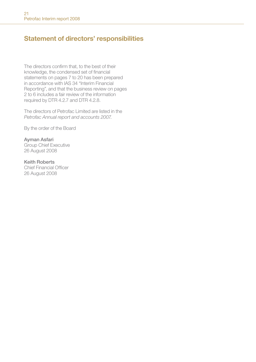## Statement of directors' responsibilities

The directors confirm that, to the best of their knowledge, the condensed set of financial statements on pages 7 to 20 has been prepared in accordance with IAS 34 "Interim Financial Reporting", and that the business review on pages 2 to 6 includes a fair review of the information required by DTR 4.2.7 and DTR 4.2.8.

The directors of Petrofac Limited are listed in the *Petrofac Annual report and accounts 2007*.

By the order of the Board

Ayman Asfari Group Chief Executive 26 August 2008

Keith Roberts Chief Financial Officer 26 August 2008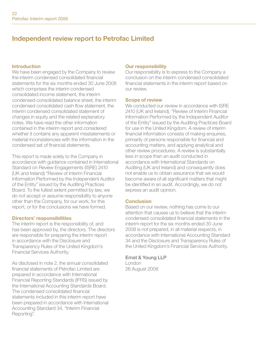## Independent review report to Petrofac Limited

#### Introduction

We have been engaged by the Company to review the interim condensed consolidated financial statements for the six months ended 30 June 2008 which comprises the interim condensed consolidated income statement, the interim condensed consolidated balance sheet, the interim condensed consolidated cash flow statement, the interim condensed consolidated statement of changes in equity and the related explanatory notes. We have read the other information contained in the interim report and considered whether it contains any apparent misstatements or material inconsistencies with the information in the condensed set of financial statements.

This report is made solely to the Company in accordance with guidance contained in International Standard on Review Engagements (ISRE) 2410 (UK and Ireland) "Review of Interim Financial Information Performed by the Independent Auditor of the Entity" issued by the Auditing Practices Board. To the fullest extent permitted by law, we do not accept or assume responsibility to anyone other than the Company, for our work, for this report, or for the conclusions we have formed.

#### Directors' responsibilities

The interim report is the responsibility of, and has been approved by, the directors. The directors are responsible for preparing the interim report in accordance with the Disclosure and Transparency Rules of the United Kingdom's Financial Services Authority.

As disclosed in note 2, the annual consolidated financial statements of Petrofac Limited are prepared in accordance with International Financial Reporting Standards (IFRS) issued by the International Accounting Standards Board. The condensed consolidated financial statements included in this interim report have been prepared in accordance with International Accounting Standard 34, "Interim Financial Reporting".

### Our responsibility

Our responsibility is to express to the Company a conclusion on the interim condensed consolidated financial statements in the interim report based on our review.

#### Scope of review

We conducted our review in accordance with ISRE 2410 (UK and Ireland), "Review of Interim Financial Information Performed by the Independent Auditor of the Entity" issued by the Auditing Practices Board for use in the United Kingdom. A review of interim financial information consists of making enquiries. primarily of persons responsible for financial and accounting matters, and applying analytical and other review procedures. A review is substantially less in scope than an audit conducted in accordance with International Standards on Auditing (UK and Ireland) and consequently does not enable us to obtain assurance that we would become aware of all significant matters that might be identified in an audit. Accordingly, we do not express an audit opinion.

### **Conclusion**

Based on our review, nothing has come to our attention that causes us to believe that the interim condensed consolidated financial statements in the interim report for the six months ended 30 June 2008 is not prepared, in all material respects, in accordance with International Accounting Standard 34 and the Disclosure and Transparency Rules of the United Kingdom's Financial Services Authority.

#### Ernst & Young LLP

London 26 August 2008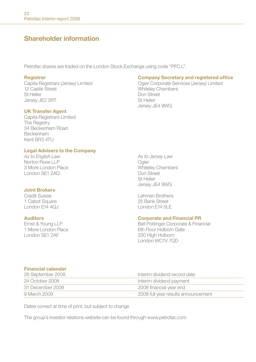## Shareholder information

Petrofac shares are traded on the London Stock Exchange using code "PFC.L".

12 Castle Street **12 Castle Street 12 Castle Street** 12 Castle Street 12 Castle Street 12 Castle Street 12 Castle Street 12 Castle Street 12 Castle Street 12 Castle Street 12 Castle Street 12 Castle Street 12 Castle Street Jersey JF2 3RT

#### UK Transfer Agent

Capita Registrars Limited **The Registry** 34 Beckenham Road Beckenham Kent BR3 4TU

#### Legal Advisers to the Company

*As to English Law As to Jersey Law* Norton Rose LLP Ogier London SE1 2AQ Don Street

## **Joint Brokers**<br>Credit Suisse

1 Cabot Square

## **Registrar Company Secretary and registered office**<br>Capita Registrars (Jersey) Limited **Capital Company Secretary and registered office**

Capita Registrars (Jersey) Limited Ogier Corporate Services (Jersey) Limited Don Street<br>St Helier Jersey JE4 9WG

> **Whiteley Chambers** St Helier Jersey JE4 9WG

Lehman Brothers<br>25 Bank Street London E14 4QJ London E14 5LE

#### Auditors Corporate and Financial PR

Ernst & Young LLP<br>
1 More London Place<br>
1 More London Place<br>
1 More London Place 1 More London Place 6th Floor Holborn Gate<br>
1 ondon SE1 24F 330 High Holborn London WC1V 7QD

#### Financial calendar

| 26 September 2008 | Interim dividend record date        |
|-------------------|-------------------------------------|
| 24 October 2008   | Interim dividend payment            |
| 31 December 2008  | 2008 financial year end             |
| 9 March 2009      | 2008 full year results announcement |

Dates correct at time of print, but subject to change

The group's investor relations website can be found through www.petrofac.com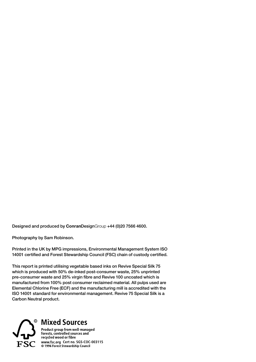Designed and produced by ConranDesignGroup +44 (0)20 7566 4600.

Photography by Sam Robinson.

Printed in the UK by MPG impressions, Environmental Management System ISO 14001 certified and Forest Stewardship Council (FSC) chain of custody certified.

This report is printed utilising vegetable based inks on Revive Special Silk 75 which is produced with 50% de-inked post-consumer waste, 25% unprinted pre-consumer waste and 25% virgin fibre and Revive 100 uncoated which is manufactured from 100% post consumer reclaimed material. All pulps used are Elemental Chlorine Free (ECF) and the manufacturing mill is accredited with the ISO 14001 standard for environmental management. Revive 75 Special Silk is a Carbon Neutral product.



## $\,^{\circ}$  Mixed Sources

Product group from we**ll**-managed<br>forests, controlled sources and<br>recycled wood or fibre  $\widehat{\mathbf{FSC}}$  www.fsc.org Cert no. SGS-COC-003115